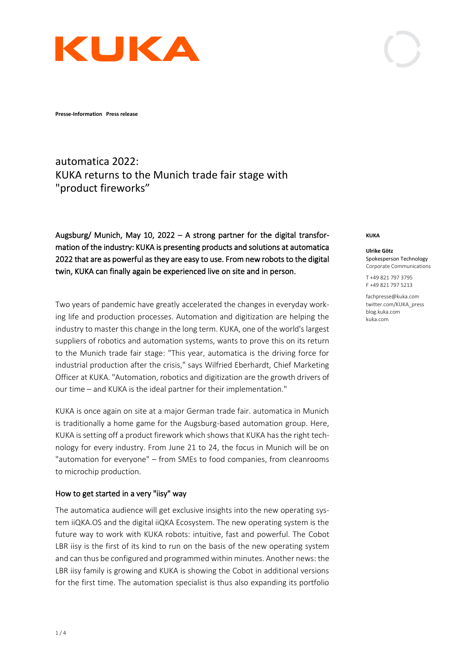

**Presse-Information Press release** 

# automatica 2022: KUKA returns to the Munich trade fair stage with "product fireworks"

Augsburg/ Munich, May 10, 2022 – A strong partner for the digital transformation of the industry: KUKA is presenting products and solutions at automatica 2022 that are as powerful as they are easy to use. From new robots to the digital twin, KUKA can finally again be experienced live on site and in person.

Two years of pandemic have greatly accelerated the changes in everyday working life and production processes. Automation and digitization are helping the industry to master this change in the long term. KUKA, one of the world's largest suppliers of robotics and automation systems, wants to prove this on its return to the Munich trade fair stage: "This year, automatica is the driving force for industrial production after the crisis," says Wilfried Eberhardt, Chief Marketing Officer at KUKA. "Automation, robotics and digitization are the growth drivers of our time – and KUKA is the ideal partner for their implementation."

KUKA is once again on site at a major German trade fair. automatica in Munich is traditionally a home game for the Augsburg-based automation group. Here, KUKA is setting off a product firework which shows that KUKA has the right technology for every industry. From June 21 to 24, the focus in Munich will be on "automation for everyone" – from SMEs to food companies, from cleanrooms to microchip production.

### How to get started in a very "iisy" way

The automatica audience will get exclusive insights into the new operating system iiQKA.OS and the digital iiQKA Ecosystem. The new operating system is the future way to work with KUKA robots: intuitive, fast and powerful. The Cobot LBR iisy is the first of its kind to run on the basis of the new operating system and can thus be configured and programmed within minutes. Another news: the LBR iisy family is growing and KUKA is showing the Cobot in additional versions for the first time. The automation specialist is thus also expanding its portfolio

#### **KUKA**

#### **Ulrike Götz** Spokesperson Technology

Corporate Communications T +49 821 797 3795 F +49 821 797 5213

fachpresse@kuka.com twitter.com/KUKA\_press blog.kuka.com kuka.com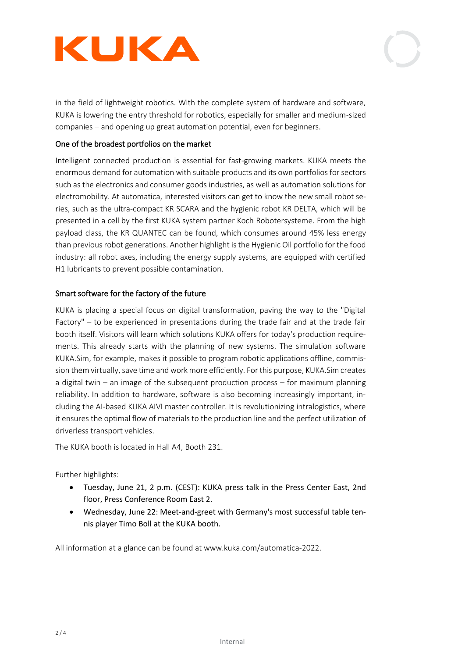



in the field of lightweight robotics. With the complete system of hardware and software, KUKA is lowering the entry threshold for robotics, especially for smaller and medium-sized companies – and opening up great automation potential, even for beginners.

## One of the broadest portfolios on the market

Intelligent connected production is essential for fast-growing markets. KUKA meets the enormous demand for automation with suitable products and its own portfolios for sectors such as the electronics and consumer goods industries, as well as automation solutions for electromobility. At automatica, interested visitors can get to know the new small robot series, such as the ultra-compact KR SCARA and the hygienic robot KR DELTA, which will be presented in a cell by the first KUKA system partner Koch Robotersysteme. From the high payload class, the KR QUANTEC can be found, which consumes around 45% less energy than previous robot generations. Another highlight is the Hygienic Oil portfolio for the food industry: all robot axes, including the energy supply systems, are equipped with certified H1 lubricants to prevent possible contamination.

## Smart software for the factory of the future

KUKA is placing a special focus on digital transformation, paving the way to the "Digital Factory" – to be experienced in presentations during the trade fair and at the trade fair booth itself. Visitors will learn which solutions KUKA offers for today's production requirements. This already starts with the planning of new systems. The simulation software KUKA.Sim, for example, makes it possible to program robotic applications offline, commission them virtually, save time and work more efficiently. For this purpose, KUKA.Sim creates a digital twin – an image of the subsequent production process – for maximum planning reliability. In addition to hardware, software is also becoming increasingly important, including the AI-based KUKA AIVI master controller. It is revolutionizing intralogistics, where it ensures the optimal flow of materials to the production line and the perfect utilization of driverless transport vehicles.

The KUKA booth is located in Hall A4, Booth 231.

Further highlights:

- Tuesday, June 21, 2 p.m. (CEST): KUKA press talk in the Press Center East, 2nd floor, Press Conference Room East 2.
- Wednesday, June 22: Meet-and-greet with Germany's most successful table tennis player Timo Boll at the KUKA booth.

All information at a glance can be found at www.kuka.com/automatica-2022.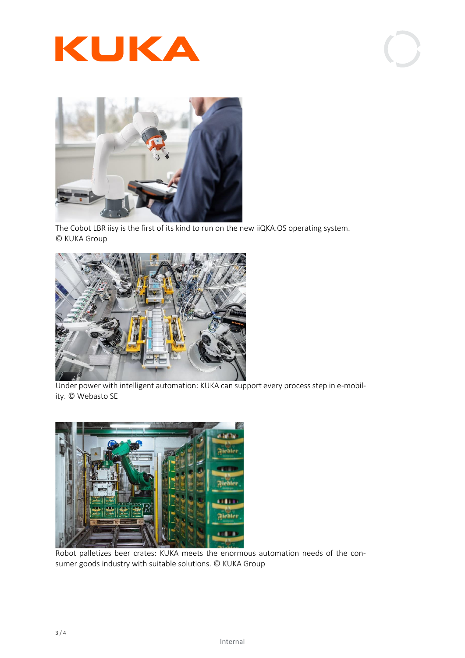





The Cobot LBR iisy is the first of its kind to run on the new iiQKA.OS operating system. © KUKA Group



Under power with intelligent automation: KUKA can support every process step in e-mobility. © Webasto SE



Robot palletizes beer crates: KUKA meets the enormous automation needs of the consumer goods industry with suitable solutions. © KUKA Group